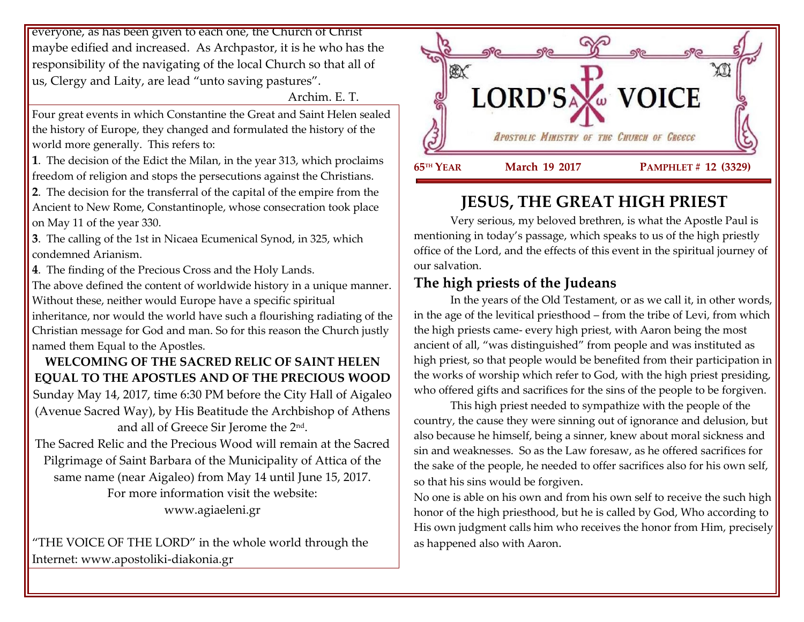everyone, as has been given to each one, the Church of Christ maybe edified and increased. As Archpastor, it is he who has the responsibility of the navigating of the local Church so that all of us, Clergy and Laity, are lead "unto saving pastures".

Archim. E. T.

Four great events in which Constantine the Great and Saint Helen sealed the history of Europe, they changed and formulated the history of the world more generally. This refers to:

**1**. The decision of the Edict the Milan, in the year 313, which proclaims freedom of religion and stops the persecutions against the Christians.

**2**. The decision for the transferral of the capital of the empire from the Ancient to New Rome, Constantinople, whose consecration took place on May 11 of the year 330.

**3**. The calling of the 1st in Nicaea Ecumenical Synod, in 325, which condemned Arianism.

**4**. The finding of the Precious Cross and the Holy Lands.

The above defined the content of worldwide history in a unique manner. Without these, neither would Europe have a specific spiritual

inheritance, nor would the world have such a flourishing radiating of the Christian message for God and man. So for this reason the Church justly named them Equal to the Apostles.

## **WELCOMING OF THE SACRED RELIC OF SAINT HELEN EQUAL TO THE APOSTLES AND OF THE PRECIOUS WOOD**

Sunday May 14, 2017, time 6:30 PM before the City Hall of Aigaleo (Avenue Sacred Way), by His Beatitude the Archbishop of Athens and all of Greece Sir Jerome the 2nd .

The Sacred Relic and the Precious Wood will remain at the Sacred Pilgrimage of Saint Barbara of the Municipality of Attica of the same name (near Aigaleo) from May 14 until June 15, 2017. For more information visit the website: www.agiaeleni.gr

"THE VOICE OF THE LORD" in the whole world through the Internet: www.apostoliki-diakonia.gr



# **JESUS, THE GREAT HIGH PRIEST**

Very serious, my beloved brethren, is what the Apostle Paul is mentioning in today's passage, which speaks to us of the high priestly office of the Lord, and the effects of this event in the spiritual journey of our salvation.

## **The high priests of the Judeans**

In the years of the Old Testament, or as we call it, in other words, in the age of the levitical priesthood – from the tribe of Levi, from which the high priests came- every high priest, with Aaron being the most ancient of all, "was distinguished" from people and was instituted as high priest, so that people would be benefited from their participation in the works of worship which refer to God, with the high priest presiding, who offered gifts and sacrifices for the sins of the people to be forgiven.

This high priest needed to sympathize with the people of the country, the cause they were sinning out of ignorance and delusion, but also because he himself, being a sinner, knew about moral sickness and sin and weaknesses. So as the Law foresaw, as he offered sacrifices for the sake of the people, he needed to offer sacrifices also for his own self, so that his sins would be forgiven.

No one is able on his own and from his own self to receive the such high honor of the high priesthood, but he is called by God, Who according to His own judgment calls him who receives the honor from Him, precisely as happened also with Aaron.